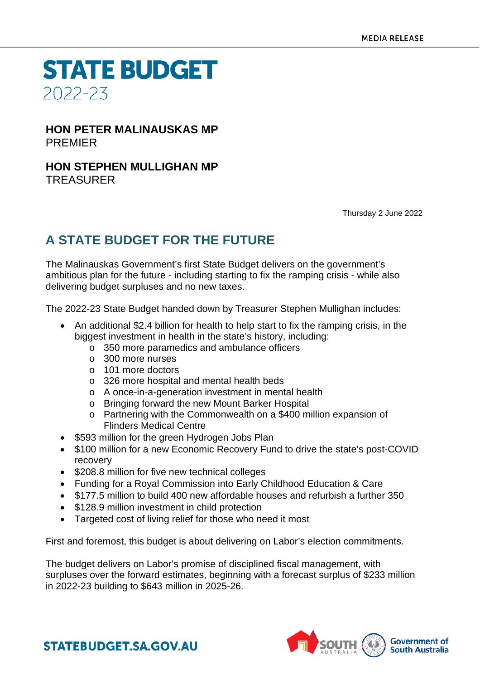**STATE BUDGET** 2022-23

## **HON PETER MALINAUSKAS MP** PREMIER

### **HON STEPHEN MULLIGHAN MP** TREASURER

Thursday 2 June 2022

# **A STATE BUDGET FOR THE FUTURE**

The Malinauskas Government's first State Budget delivers on the government's ambitious plan for the future - including starting to fix the ramping crisis - while also delivering budget surpluses and no new taxes.

The 2022-23 State Budget handed down by Treasurer Stephen Mullighan includes:

- An additional \$2.4 billion for health to help start to fix the ramping crisis, in the biggest investment in health in the state's history, including:
	- o 350 more paramedics and ambulance officers
	- o 300 more nurses
	- o 101 more doctors
	- o 326 more hospital and mental health beds
	- o A once-in-a-generation investment in mental health
	- o Bringing forward the new Mount Barker Hospital
	- o Partnering with the Commonwealth on a \$400 million expansion of Flinders Medical Centre
- \$593 million for the green Hydrogen Jobs Plan
- \$100 million for a new Economic Recovery Fund to drive the state's post-COVID recovery
- \$208.8 million for five new technical colleges
- Funding for a Royal Commission into Early Childhood Education & Care
- \$177.5 million to build 400 new affordable houses and refurbish a further 350
- \$128.9 million investment in child protection
- Targeted cost of living relief for those who need it most

First and foremost, this budget is about delivering on Labor's election commitments.

The budget delivers on Labor's promise of disciplined fiscal management, with surpluses over the forward estimates, beginning with a forecast surplus of \$233 million in 2022-23 building to \$643 million in 2025-26.